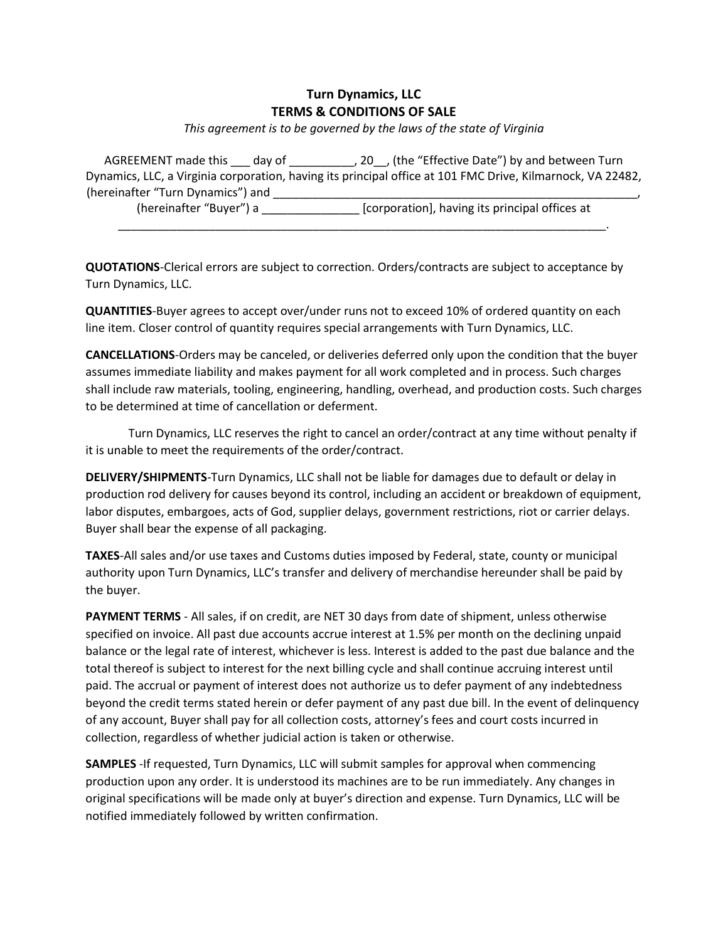## **Turn Dynamics, LLC TERMS & CONDITIONS OF SALE**

*This agreement is to be governed by the laws of the state of Virginia*

AGREEMENT made this \_\_\_ day of \_\_\_\_\_\_\_\_\_\_\_, 20\_\_, (the "Effective Date") by and between Turn Dynamics, LLC, a Virginia corporation, having its principal office at 101 FMC Drive, Kilmarnock, VA 22482, (hereinafter "Turn Dynamics") and \_\_\_\_\_\_\_\_\_ (hereinafter "Buyer") a \_\_\_\_\_\_\_\_\_\_\_\_\_\_\_ [corporation], having its principal offices at

\_\_\_\_\_\_\_\_\_\_\_\_\_\_\_\_\_\_\_\_\_\_\_\_\_\_\_\_\_\_\_\_\_\_\_\_\_\_\_\_\_\_\_\_\_\_\_\_\_\_\_\_\_\_\_\_\_\_\_\_\_\_\_\_\_\_\_\_\_\_\_\_\_\_\_.

**QUOTATIONS**-Clerical errors are subject to correction. Orders/contracts are subject to acceptance by Turn Dynamics, LLC.

**QUANTITIES**-Buyer agrees to accept over/under runs not to exceed 10% of ordered quantity on each line item. Closer control of quantity requires special arrangements with Turn Dynamics, LLC.

**CANCELLATIONS**-Orders may be canceled, or deliveries deferred only upon the condition that the buyer assumes immediate liability and makes payment for all work completed and in process. Such charges shall include raw materials, tooling, engineering, handling, overhead, and production costs. Such charges to be determined at time of cancellation or deferment.

Turn Dynamics, LLC reserves the right to cancel an order/contract at any time without penalty if it is unable to meet the requirements of the order/contract.

**DELIVERY/SHIPMENTS**-Turn Dynamics, LLC shall not be liable for damages due to default or delay in production rod delivery for causes beyond its control, including an accident or breakdown of equipment, labor disputes, embargoes, acts of God, supplier delays, government restrictions, riot or carrier delays. Buyer shall bear the expense of all packaging.

**TAXES**-All sales and/or use taxes and Customs duties imposed by Federal, state, county or municipal authority upon Turn Dynamics, LLC's transfer and delivery of merchandise hereunder shall be paid by the buyer.

**PAYMENT TERMS** - All sales, if on credit, are NET 30 days from date of shipment, unless otherwise specified on invoice. All past due accounts accrue interest at 1.5% per month on the declining unpaid balance or the legal rate of interest, whichever is less. Interest is added to the past due balance and the total thereof is subject to interest for the next billing cycle and shall continue accruing interest until paid. The accrual or payment of interest does not authorize us to defer payment of any indebtedness beyond the credit terms stated herein or defer payment of any past due bill. In the event of delinquency of any account, Buyer shall pay for all collection costs, attorney's fees and court costs incurred in collection, regardless of whether judicial action is taken or otherwise.

**SAMPLES** -If requested, Turn Dynamics, LLC will submit samples for approval when commencing production upon any order. It is understood its machines are to be run immediately. Any changes in original specifications will be made only at buyer's direction and expense. Turn Dynamics, LLC will be notified immediately followed by written confirmation.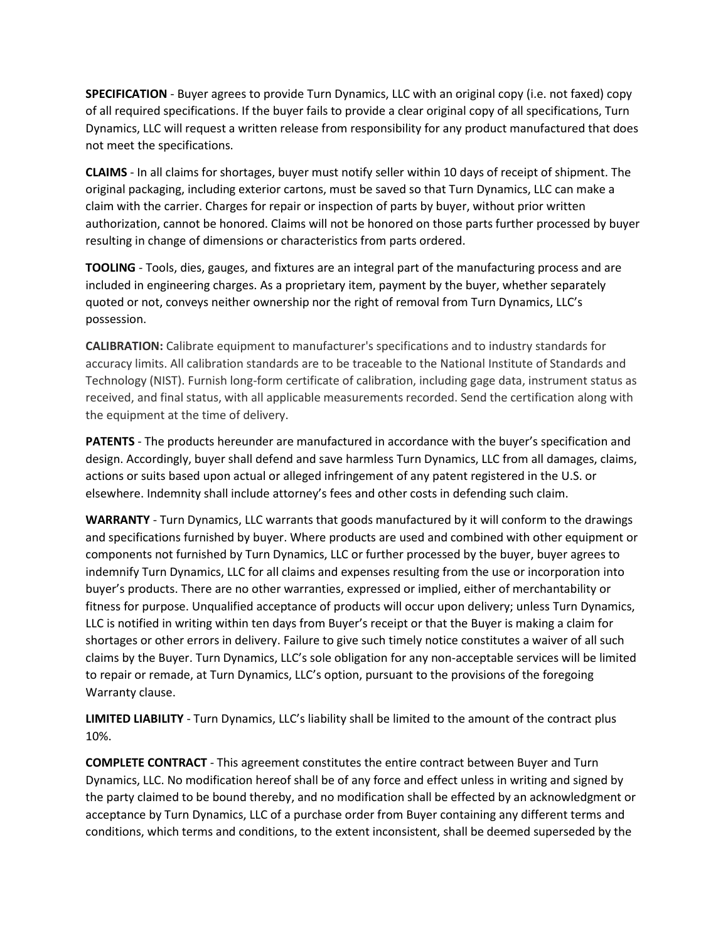**SPECIFICATION** - Buyer agrees to provide Turn Dynamics, LLC with an original copy (i.e. not faxed) copy of all required specifications. If the buyer fails to provide a clear original copy of all specifications, Turn Dynamics, LLC will request a written release from responsibility for any product manufactured that does not meet the specifications.

**CLAIMS** - In all claims for shortages, buyer must notify seller within 10 days of receipt of shipment. The original packaging, including exterior cartons, must be saved so that Turn Dynamics, LLC can make a claim with the carrier. Charges for repair or inspection of parts by buyer, without prior written authorization, cannot be honored. Claims will not be honored on those parts further processed by buyer resulting in change of dimensions or characteristics from parts ordered.

**TOOLING** - Tools, dies, gauges, and fixtures are an integral part of the manufacturing process and are included in engineering charges. As a proprietary item, payment by the buyer, whether separately quoted or not, conveys neither ownership nor the right of removal from Turn Dynamics, LLC's possession.

**CALIBRATION:** Calibrate equipment to manufacturer's specifications and to industry standards for accuracy limits. All calibration standards are to be traceable to the National Institute of Standards and Technology (NIST). Furnish long-form certificate of calibration, including gage data, instrument status as received, and final status, with all applicable measurements recorded. Send the certification along with the equipment at the time of delivery.

**PATENTS** - The products hereunder are manufactured in accordance with the buyer's specification and design. Accordingly, buyer shall defend and save harmless Turn Dynamics, LLC from all damages, claims, actions or suits based upon actual or alleged infringement of any patent registered in the U.S. or elsewhere. Indemnity shall include attorney's fees and other costs in defending such claim.

**WARRANTY** - Turn Dynamics, LLC warrants that goods manufactured by it will conform to the drawings and specifications furnished by buyer. Where products are used and combined with other equipment or components not furnished by Turn Dynamics, LLC or further processed by the buyer, buyer agrees to indemnify Turn Dynamics, LLC for all claims and expenses resulting from the use or incorporation into buyer's products. There are no other warranties, expressed or implied, either of merchantability or fitness for purpose. Unqualified acceptance of products will occur upon delivery; unless Turn Dynamics, LLC is notified in writing within ten days from Buyer's receipt or that the Buyer is making a claim for shortages or other errors in delivery. Failure to give such timely notice constitutes a waiver of all such claims by the Buyer. Turn Dynamics, LLC's sole obligation for any non-acceptable services will be limited to repair or remade, at Turn Dynamics, LLC's option, pursuant to the provisions of the foregoing Warranty clause.

**LIMITED LIABILITY** - Turn Dynamics, LLC's liability shall be limited to the amount of the contract plus 10%.

**COMPLETE CONTRACT** - This agreement constitutes the entire contract between Buyer and Turn Dynamics, LLC. No modification hereof shall be of any force and effect unless in writing and signed by the party claimed to be bound thereby, and no modification shall be effected by an acknowledgment or acceptance by Turn Dynamics, LLC of a purchase order from Buyer containing any different terms and conditions, which terms and conditions, to the extent inconsistent, shall be deemed superseded by the